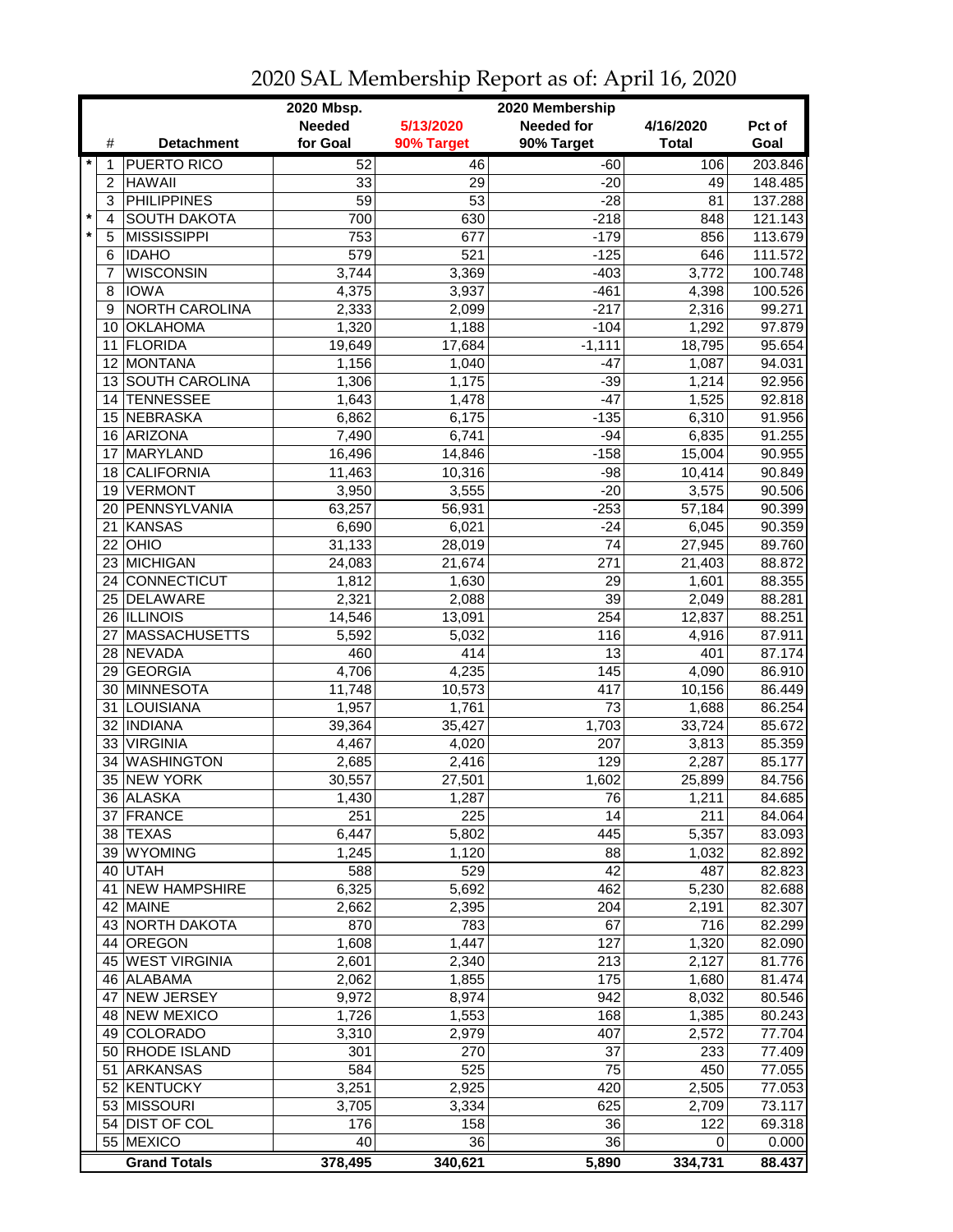|         |                |                            | 2020 Mbsp.      |                  | 2020 Membership   |              |                  |
|---------|----------------|----------------------------|-----------------|------------------|-------------------|--------------|------------------|
|         |                |                            | <b>Needed</b>   | 5/13/2020        | <b>Needed for</b> | 4/16/2020    | Pct of           |
|         | #              | <b>Detachment</b>          | for Goal        | 90% Target       | 90% Target        | <b>Total</b> | Goal             |
| $\star$ | 1              | <b>PUERTO RICO</b>         | 52              | 46               | $-60$             | 106          | 203.846          |
|         | $\overline{c}$ | <b>HAWAII</b>              | 33              | 29               | $-20$             | 49           | 148.485          |
|         | 3              | <b>PHILIPPINES</b>         | $\overline{59}$ | $\overline{53}$  | $-28$             | 81           | 137.288          |
| $\star$ | 4              | <b>SOUTH DAKOTA</b>        | 700             | 630              | $-218$            | 848          | 121.143          |
|         | 5              | <b>MISSISSIPPI</b>         | 753             | 677              | $-179$            | 856          | 113.679          |
|         | 6              | <b>IDAHO</b>               | 579             | $\overline{521}$ | $-125$            | 646          | 111.572          |
|         | 7              | <b>WISCONSIN</b>           | 3,744           | 3,369            | $-403$            | 3,772        | 100.748          |
|         | 8              | <b>IOWA</b>                | 4,375           | 3,937            | $-461$            | 4,398        | 100.526          |
|         | 9              | NORTH CAROLINA             | 2,333           | 2,099            | $-217$            | 2,316        | 99.271           |
|         | 10             | <b>OKLAHOMA</b>            | 1,320           | 1,188            | $-104$            | 1,292        | 97.879           |
|         | 11             | <b>FLORIDA</b>             | 19,649          | 17,684           | $-1,111$          | 18,795       | 95.654           |
|         | 12             | MONTANA                    | 1,156           | 1,040            | $-47$             | 1,087        | 94.031           |
|         |                | 13 SOUTH CAROLINA          | 1,306           | 1,175            | $-39$             | 1,214        | 92.956           |
|         | 14             | <b>TENNESSEE</b>           | 1,643           | 1,478            | $-47$             | 1,525        | 92.818           |
|         | 15             | NEBRASKA                   | 6,862           |                  |                   | 6,310        | 91.956           |
|         |                |                            |                 | 6,175            | $-135$            |              |                  |
|         | 16             | ARIZONA<br><b>MARYLAND</b> | 7,490           | 6,741            | $-94$             | 6,835        | 91.255           |
|         | 17             | <b>CALIFORNIA</b>          | 16,496          | 14,846           | $-158$            | 15,004       | 90.955<br>90.849 |
|         | 18             |                            | 11,463          | 10,316           | $-98$             | 10,414       |                  |
|         | 19             | <b>VERMONT</b>             | 3,950           | 3,555            | $-20$             | 3,575        | 90.506           |
|         |                | 20 PENNSYLVANIA            | 63,257          | 56,931           | $-253$            | 57,184       | 90.399           |
|         | 21             | KANSAS                     | 6,690           | 6,021            | $-24$             | 6,045        | 90.359           |
|         |                | $22$ OHIO                  | 31,133          | 28,019           | $\overline{74}$   | 27,945       | 89.760           |
|         |                | 23 MICHIGAN                | 24,083          | 21,674           | $\overline{271}$  | 21,403       | 88.872           |
|         |                | 24 CONNECTICUT             | 1,812           | 1,630            | 29                | 1,601        | 88.355           |
|         |                | 25 DELAWARE                | 2,321           | 2,088            | $\overline{39}$   | 2,049        | 88.281           |
|         |                | 26 ILLINOIS                | 14,546          | 13,091           | 254               | 12,837       | 88.251           |
|         | 27             | <b>MASSACHUSETTS</b>       | 5,592           | 5,032            | 116               | 4,916        | 87.911           |
|         |                | 28 NEVADA                  | 460             | 414              | 13                | 401          | 87.174           |
|         | 29             | GEORGIA                    | 4,706           | 4,235            | 145               | 4,090        | 86.910           |
|         | 30             | MINNESOTA                  | 11,748          | 10,573           | 417               | 10,156       | 86.449           |
|         | 31             | LOUISIANA                  | 1,957           | 1,761            | 73                | 1,688        | 86.254           |
|         |                | 32 INDIANA                 | 39,364          | 35,427           | 1,703             | 33,724       | 85.672           |
|         |                | 33 VIRGINIA                | 4,467           | 4,020            | 207               | 3,813        | 85.359           |
|         | 34             | <b>WASHINGTON</b>          | 2,685           | 2,416            | 129               | 2,287        | 85.177           |
|         |                | 35 NEW YORK                | 30,557          | 27,501           | 1,602             | 25,899       | 84.756           |
|         |                | 36 ALASKA                  | 1,430           | 1,287            | 76                | 1,211        | 84.685           |
|         |                | 37 FRANCE                  | 251             | 225              | 14                | 211          | 84.064           |
|         |                | 38 TEXAS                   | 6,447           | 5,802            | 445               | 5,357        | 83.093           |
|         |                | 39 WYOMING                 | 1,245           | 1,120            | 88                | 1,032        | 82.892           |
|         |                | 40 UTAH                    | 588             | 529              | 42                | 487          | 82.823           |
|         |                | 41 NEW HAMPSHIRE           | 6,325           | 5,692            | 462               | 5,230        | 82.688           |
|         |                | 42 MAINE                   | 2,662           | 2,395            | 204               | 2,191        | 82.307           |
|         |                | 43 NORTH DAKOTA            | 870             | 783              | 67                | 716          | 82.299           |
|         |                | 44 OREGON                  | 1,608           | 1,447            | 127               | 1,320        | 82.090           |
|         |                | 45 WEST VIRGINIA           | 2,601           | 2,340            | 213               | 2,127        | 81.776           |
|         |                | 46 ALABAMA                 | 2,062           | 1,855            | 175               | 1,680        | 81.474           |
|         | 47             | <b>NEW JERSEY</b>          | 9,972           | 8,974            | 942               | 8,032        | 80.546           |
|         |                | 48 NEW MEXICO              | 1,726           | 1,553            | 168               | 1,385        | 80.243           |
|         |                | 49 COLORADO                | 3,310           | 2,979            | 407               | 2,572        | 77.704           |
|         |                | 50 RHODE ISLAND            | 301             | 270              | 37                | 233          | 77.409           |
|         | 51             | <b>ARKANSAS</b>            | 584             | 525              | 75                | 450          | 77.055           |
|         |                | 52 KENTUCKY                | 3,251           | 2,925            | 420               | 2,505        | 77.053           |
|         |                | 53 MISSOURI                | 3,705           | 3,334            | 625               | 2,709        | 73.117           |
|         |                | 54 DIST OF COL             | 176             | 158              | 36                | 122          | 69.318           |
|         |                | 55 MEXICO                  | 40              | 36               | 36                | 0            | 0.000            |
|         |                | <b>Grand Totals</b>        | 378,495         | 340,621          | 5,890             | 334,731      | 88.437           |

2020 SAL Membership Report as of: April 16, 2020